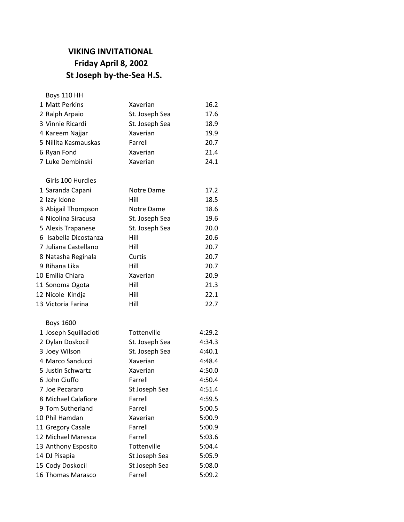## **VIKING INVITATIONAL Friday April 8, 2002 St Joseph by-the-Sea H.S.**

Boys 110 HH

| 1 Matt Perkins        | Xaverian       | 16.2   |
|-----------------------|----------------|--------|
| 2 Ralph Arpaio        | St. Joseph Sea | 17.6   |
| 3 Vinnie Ricardi      | St. Joseph Sea | 18.9   |
| 4 Kareem Najjar       | Xaverian       | 19.9   |
| 5 Nillita Kasmauskas  | Farrell        | 20.7   |
| 6 Ryan Fond           | Xaverian       | 21.4   |
| 7 Luke Dembinski      | Xaverian       | 24.1   |
| Girls 100 Hurdles     |                |        |
| 1 Saranda Capani      | Notre Dame     | 17.2   |
| 2 Izzy Idone          | Hill           | 18.5   |
| 3 Abigail Thompson    | Notre Dame     | 18.6   |
| 4 Nicolina Siracusa   | St. Joseph Sea | 19.6   |
| 5 Alexis Trapanese    | St. Joseph Sea | 20.0   |
| 6 Isabella Dicostanza | Hill           | 20.6   |
| 7 Juliana Castellano  | Hill           | 20.7   |
| 8 Natasha Reginala    | Curtis         | 20.7   |
| 9 Rihana Lika         | Hill           | 20.7   |
| 10 Emilia Chiara      | Xaverian       | 20.9   |
| 11 Sonoma Ogota       | Hill           | 21.3   |
| 12 Nicole Kindja      | Hill           | 22.1   |
| 13 Victoria Farina    | Hill           | 22.7   |
| <b>Boys 1600</b>      |                |        |
| 1 Joseph Squillacioti | Tottenville    | 4:29.2 |
| 2 Dylan Doskocil      | St. Joseph Sea | 4:34.3 |
| 3 Joey Wilson         | St. Joseph Sea | 4:40.1 |
| 4 Marco Sanducci      | Xaverian       | 4:48.4 |
| 5 Justin Schwartz     | Xaverian       | 4:50.0 |
| 6 John Ciuffo         | Farrell        | 4:50.4 |
| 7 Joe Pecararo        | St Joseph Sea  | 4:51.4 |
| 8 Michael Calafiore   | Farrell        | 4:59.5 |
| 9 Tom Sutherland      | Farrell        | 5:00.5 |
| 10 Phil Hamdan        | Xaverian       | 5:00.9 |
| 11 Gregory Casale     | Farrell        | 5:00.9 |
| 12 Michael Maresca    | Farrell        | 5:03.6 |
| 13 Anthony Esposito   | Tottenville    | 5:04.4 |
| 14 DJ Pisapia         | St Joseph Sea  | 5:05.9 |
| 15 Cody Doskocil      | St Joseph Sea  | 5:08.0 |
| 16 Thomas Marasco     | Farrell        | 5:09.2 |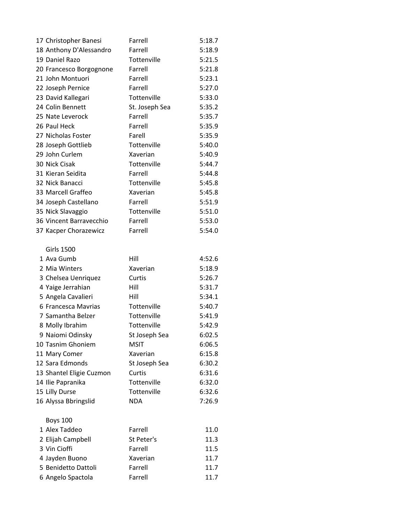| 17 Christopher Banesi                     | Farrell             | 5:18.7           |
|-------------------------------------------|---------------------|------------------|
| 18 Anthony D'Alessandro                   | Farrell             | 5:18.9           |
| 19 Daniel Razo                            | Tottenville         | 5:21.5           |
| 20 Francesco Borgognone                   | Farrell             | 5:21.8           |
| 21 John Montuori                          | Farrell             | 5:23.1           |
| 22 Joseph Pernice                         | Farrell             | 5:27.0           |
| 23 David Kallegari                        | Tottenville         | 5:33.0           |
| 24 Colin Bennett                          | St. Joseph Sea      | 5:35.2           |
| 25 Nate Leverock                          | Farrell             | 5:35.7           |
| 26 Paul Heck                              | Farrell             | 5:35.9           |
| 27 Nicholas Foster                        | Farell              | 5:35.9           |
| 28 Joseph Gottlieb                        | Tottenville         | 5:40.0           |
| 29 John Curlem                            | Xaverian            | 5:40.9           |
| 30 Nick Cisak                             | Tottenville         | 5:44.7           |
| 31 Kieran Seidita                         | Farrell             | 5:44.8           |
| 32 Nick Banacci                           | Tottenville         | 5:45.8           |
| 33 Marcell Graffeo                        | Xaverian            | 5:45.8           |
| 34 Joseph Castellano                      | Farrell             | 5:51.9           |
| 35 Nick Slavaggio                         | Tottenville         | 5:51.0           |
| 36 Vincent Barravecchio                   | Farrell             | 5:53.0           |
| 37 Kacper Chorazewicz                     | Farrell             | 5:54.0           |
|                                           |                     |                  |
| <b>Girls 1500</b>                         |                     |                  |
| 1 Ava Gumb                                | Hill                | 4:52.6           |
| 2 Mia Winters                             | Xaverian            | 5:18.9           |
| 3 Chelsea Uenriquez                       | Curtis              | 5:26.7           |
| 4 Yaige Jerrahian                         | Hill                | 5:31.7           |
| 5 Angela Cavalieri<br>6 Francesca Mavrias | Hill<br>Tottenville | 5:34.1<br>5:40.7 |
| 7 Samantha Belzer                         | Tottenville         | 5:41.9           |
| 8 Molly Ibrahim                           | Tottenville         | 5:42.9           |
| 9 Naiomi Odinsky                          | St Joseph Sea       | 6:02.5           |
| 10 Tasnim Ghoniem                         | <b>MSIT</b>         | 6:06.5           |
| 11 Mary Comer                             | Xaverian            | 6:15.8           |
| 12 Sara Edmonds                           | St Joseph Sea       | 6:30.2           |
| 13 Shantel Eligie Cuzmon                  | Curtis              | 6:31.6           |
| 14 Ilie Papranika                         | Tottenville         | 6:32.0           |
| 15 Lilly Durse                            | Tottenville         | 6:32.6           |
| 16 Alyssa Bbringslid                      | <b>NDA</b>          | 7:26.9           |
|                                           |                     |                  |
| <b>Boys 100</b>                           |                     |                  |
| 1 Alex Taddeo                             | Farrell             | 11.0             |
| 2 Elijah Campbell                         | St Peter's          | 11.3             |
| 3 Vin Cioffi                              | Farrell             | 11.5             |
| 4 Jayden Buono                            | Xaverian            | 11.7             |
| 5 Benidetto Dattoli                       | Farrell             | 11.7             |
| 6 Angelo Spactola                         | Farrell             | 11.7             |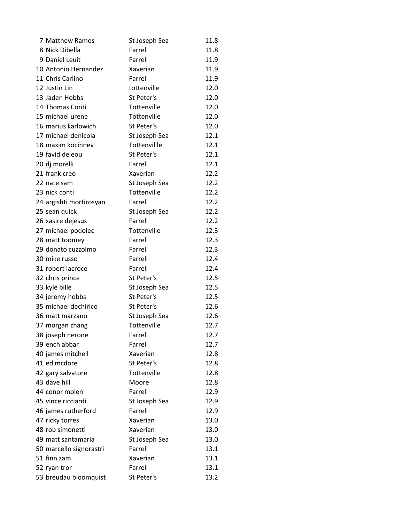| 7 Matthew Ramos         | St Joseph Sea | 11.8 |
|-------------------------|---------------|------|
| 8 Nick Dibella          | Farrell       | 11.8 |
| 9 Daniel Leuit          | Farrell       | 11.9 |
| 10 Antonio Hernandez    | Xaverian      | 11.9 |
| 11 Chris Carlino        | Farrell       | 11.9 |
| 12 Justin Lin           | tottenville   | 12.0 |
| 13 Jaden Hobbs          | St Peter's    | 12.0 |
| 14 Thomas Conti         | Tottenville   | 12.0 |
| 15 michael urene        | Tottenville   | 12.0 |
| 16 marius karlowich     | St Peter's    | 12.0 |
| 17 michael denicola     | St Joseph Sea | 12.1 |
| 18 maxim kocinnev       | Tottenvillle  | 12.1 |
| 19 favid deleou         | St Peter's    | 12.1 |
| 20 dj morelli           | Farrell       | 12.1 |
| 21 frank creo           | Xaverian      | 12.2 |
| 22 nate sam             | St Joseph Sea | 12.2 |
| 23 nick conti           | Tottenville   | 12.2 |
| 24 argishti mortirosyan | Farrell       | 12.2 |
| 25 sean quick           | St Joseph Sea | 12.2 |
| 26 xasire dejesus       | Farrell       | 12.2 |
| 27 michael podolec      | Tottenville   | 12.3 |
| 28 matt toomey          | Farrell       | 12.3 |
| 29 donato cuzzolmo      | Farrell       | 12.3 |
| 30 mike russo           | Farrell       | 12.4 |
| 31 robert lacroce       | Farrell       | 12.4 |
| 32 chris prince         | St Peter's    | 12.5 |
| 33 kyle bille           | St Joseph Sea | 12.5 |
| 34 jeremy hobbs         | St Peter's    | 12.5 |
| 35 michael dechirico    | St Peter's    | 12.6 |
| 36 matt marzano         | St Joseph Sea | 12.6 |
| 37 morgan zhang         | Tottenville   | 12.7 |
| 38 joseph nerone        | Farrell       | 12.7 |
| 39 ench abbar           | Farrell       | 12.7 |
| 40 james mitchell       | Xaverian      | 12.8 |
| 41 ed mcdore            | St Peter's    | 12.8 |
| 42 gary salvatore       | Tottenville   | 12.8 |
| 43 dave hill            | Moore         | 12.8 |
| 44 conor molen          | Farrell       | 12.9 |
| 45 vince ricciardi      | St Joseph Sea | 12.9 |
| 46 james rutherford     | Farrell       | 12.9 |
| 47 ricky torres         | Xaverian      | 13.0 |
| 48 rob simonetti        | Xaverian      | 13.0 |
| 49 matt santamaria      | St Joseph Sea | 13.0 |
| 50 marcello signorastri | Farrell       | 13.1 |
| 51 finn zam             | Xaverian      | 13.1 |
| 52 ryan tror            | Farrell       | 13.1 |
| 53 breudau bloomquist   | St Peter's    | 13.2 |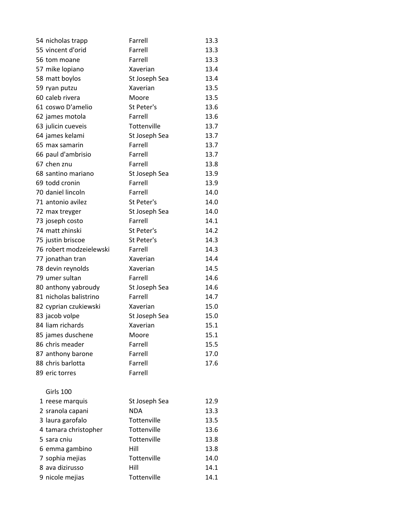| 54 nicholas trapp       | Farrell       | 13.3 |
|-------------------------|---------------|------|
| 55 vincent d'orid       | Farrell       | 13.3 |
| 56 tom moane            | Farrell       | 13.3 |
| 57 mike lopiano         | Xaverian      | 13.4 |
| 58 matt boylos          | St Joseph Sea | 13.4 |
| 59 ryan putzu           | Xaverian      | 13.5 |
| 60 caleb rivera         | Moore         | 13.5 |
| 61 coswo D'amelio       | St Peter's    | 13.6 |
| 62 james motola         | Farrell       | 13.6 |
| 63 julicin cueveis      | Tottenville   | 13.7 |
| 64 james kelami         | St Joseph Sea | 13.7 |
| 65 max samarin          | Farrell       | 13.7 |
| 66 paul d'ambrisio      | Farrell       | 13.7 |
| 67 chen znu             | Farrell       | 13.8 |
| 68 santino mariano      | St Joseph Sea | 13.9 |
| 69 todd cronin          | Farrell       | 13.9 |
| 70 daniel lincoln       | Farrell       | 14.0 |
| 71 antonio avilez       | St Peter's    | 14.0 |
| 72 max treyger          | St Joseph Sea | 14.0 |
| 73 joseph costo         | Farrell       | 14.1 |
| 74 matt zhinski         | St Peter's    | 14.2 |
| 75 justin briscoe       | St Peter's    | 14.3 |
| 76 robert modzeielewski | Farrell       | 14.3 |
| 77 jonathan tran        | Xaverian      | 14.4 |
| 78 devin reynolds       | Xaverian      | 14.5 |
| 79 umer sultan          | Farrell       | 14.6 |
| 80 anthony yabroudy     | St Joseph Sea | 14.6 |
| 81 nicholas balistrino  | Farrell       | 14.7 |
| 82 cyprian czukiewski   | Xaverian      | 15.0 |
| 83 jacob volpe          | St Joseph Sea | 15.0 |
| 84 liam richards        | Xaverian      | 15.1 |
| 85 james duschene       | Moore         | 15.1 |
| 86 chris meader         | Farrell       | 15.5 |
| 87 anthony barone       | Farrell       | 17.0 |
| 88 chris barlotta       | Farrell       | 17.6 |
| 89 eric torres          | Farrell       |      |
| Girls 100               |               |      |
| 1 reese marquis         | St Joseph Sea | 12.9 |
| 2 sranola capani        | <b>NDA</b>    | 13.3 |
| 3 laura garofalo        | Tottenville   | 13.5 |
| 4 tamara christopher    | Tottenville   | 13.6 |
| 5 sara cniu             | Tottenville   | 13.8 |
| 6 emma gambino          | Hill          | 13.8 |
| 7 sophia mejias         | Tottenville   | 14.0 |
| 8 ava dizirusso         | Hill          | 14.1 |
| 9 nicole mejias         | Tottenville   | 14.1 |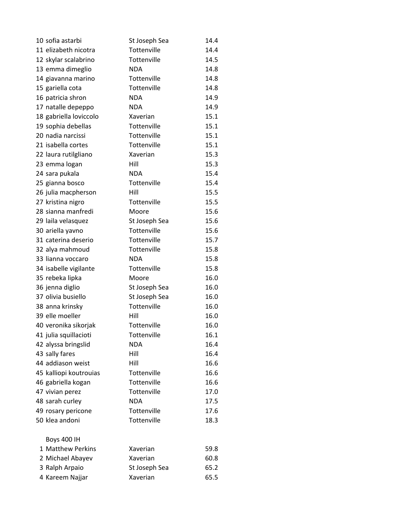| 10 sofia astarbi       | St Joseph Sea | 14.4 |
|------------------------|---------------|------|
| 11 elizabeth nicotra   | Tottenville   | 14.4 |
| 12 skylar scalabrino   | Tottenville   | 14.5 |
| 13 emma dimeglio       | <b>NDA</b>    | 14.8 |
| 14 giavanna marino     | Tottenville   | 14.8 |
| 15 gariella cota       | Tottenville   | 14.8 |
| 16 patricia shron      | <b>NDA</b>    | 14.9 |
| 17 natalle depeppo     | <b>NDA</b>    | 14.9 |
| 18 gabriella loviccolo | Xaverian      | 15.1 |
| 19 sophia debellas     | Tottenville   | 15.1 |
| 20 nadia narcissi      | Tottenville   | 15.1 |
| 21 isabella cortes     | Tottenville   | 15.1 |
| 22 laura rutilgliano   | Xaverian      | 15.3 |
| 23 emma logan          | Hill          | 15.3 |
| 24 sara pukala         | <b>NDA</b>    | 15.4 |
| 25 gianna bosco        | Tottenville   | 15.4 |
| 26 julia macpherson    | Hill          | 15.5 |
| 27 kristina nigro      | Tottenville   | 15.5 |
| 28 sianna manfredi     | Moore         | 15.6 |
| 29 laila velasquez     | St Joseph Sea | 15.6 |
| 30 ariella yavno       | Tottenville   | 15.6 |
| 31 caterina deserio    | Tottenville   | 15.7 |
| 32 alya mahmoud        | Tottenville   | 15.8 |
| 33 lianna voccaro      | <b>NDA</b>    | 15.8 |
| 34 isabelle vigilante  | Tottenville   | 15.8 |
| 35 rebeka lipka        | Moore         | 16.0 |
| 36 jenna diglio        | St Joseph Sea | 16.0 |
| 37 olivia busiello     | St Joseph Sea | 16.0 |
| 38 anna krinsky        | Tottenville   | 16.0 |
| 39 elle moeller        | Hill          | 16.0 |
| 40 veronika sikorjak   | Tottenville   | 16.0 |
| 41 julia squillacioti  | Tottenville   | 16.1 |
| 42 alyssa bringslid    | <b>NDA</b>    | 16.4 |
| 43 sally fares         | Hill          | 16.4 |
| 44 addiason weist      | Hill          | 16.6 |
| 45 kalliopi koutrouias | Tottenville   | 16.6 |
| 46 gabriella kogan     | Tottenville   | 16.6 |
| 47 vivian perez        | Tottenville   | 17.0 |
| 48 sarah curley        | <b>NDA</b>    | 17.5 |
| 49 rosary pericone     | Tottenville   | 17.6 |
| 50 klea andoni         | Tottenville   | 18.3 |
| <b>Boys 400 IH</b>     |               |      |
| 1 Matthew Perkins      | Xaverian      | 59.8 |
| 2 Michael Abayev       | Xaverian      | 60.8 |
| 3 Ralph Arpaio         | St Joseph Sea | 65.2 |
| 4 Kareem Najjar        | Xaverian      | 65.5 |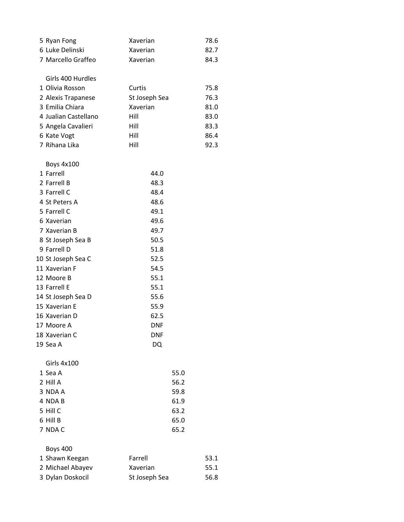| 5 Ryan Fong        | Xaverian | 78.6 |
|--------------------|----------|------|
| 6 Luke Delinski    | Xaverian | 82.7 |
| 7 Marcello Graffeo | Xaverian | 84.3 |
| Girls 400 Hurdles  |          |      |
| 1 Olivia Rosson    | Curtis   | 75.8 |

|             | 2 Alexis Trapanese   | St Joseph Sea | 76.3 |
|-------------|----------------------|---------------|------|
|             | 3 Emilia Chiara      | Xaverian      | 81.0 |
|             | 4 Jualian Castellano | Hill          | 83.0 |
|             | 5 Angela Cavalieri   | Hill          | 83.3 |
| 6 Kate Vogt |                      | Hill          | 86.4 |
|             | 7 Rihana Lika        | Hill          | 92.3 |

| <b>Boys 4x100</b>  |            |      |
|--------------------|------------|------|
| 1 Farrell          | 44.0       |      |
| 2 Farrell B        | 48.3       |      |
| 3 Farrell C        | 48.4       |      |
| 4 St Peters A      | 48.6       |      |
| 5 Farrell C        | 49.1       |      |
| 6 Xaverian         | 49.6       |      |
| 7 Xaverian B       | 49.7       |      |
| 8 St Joseph Sea B  | 50.5       |      |
| 9 Farrell D        | 51.8       |      |
| 10 St Joseph Sea C | 52.5       |      |
| 11 Xaverian F      | 54.5       |      |
| 12 Moore B         | 55.1       |      |
| 13 Farrell E       | 55.1       |      |
| 14 St Joseph Sea D | 55.6       |      |
| 15 Xaverian E      | 55.9       |      |
| 16 Xaverian D      | 62.5       |      |
| 17 Moore A         | DNF        |      |
| 18 Xaverian C      | <b>DNF</b> |      |
| 19 Sea A           | DQ         |      |
| Girls 4x100        |            |      |
| 1 Sea A            |            | 55.0 |
| 2 Hill A           |            | 56.2 |
| 3 NDA A            |            | 59.8 |
| 4 NDA B            |            | 61.9 |
| 5 Hill C           |            | 63.2 |
| 6 Hill B           |            | 65.0 |
| 7 NDA C            |            | 65.2 |
|                    |            |      |

## Boys 400

| 1 Shawn Keegan   | Farrell       | 53.1 |
|------------------|---------------|------|
| 2 Michael Abayev | Xaverian      | 55.1 |
| 3 Dylan Doskocil | St Joseph Sea | 56.8 |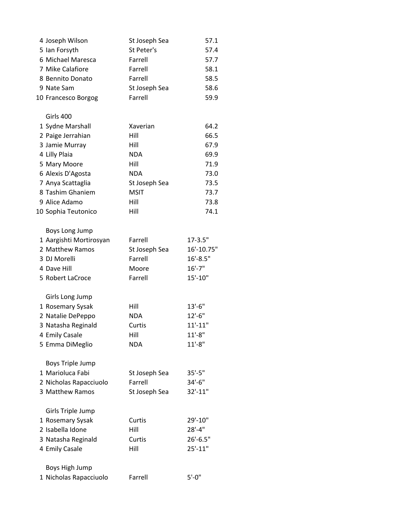| 4 Joseph Wilson         | St Joseph Sea | 57.1         |
|-------------------------|---------------|--------------|
| 5 Ian Forsyth           | St Peter's    | 57.4         |
| 6 Michael Maresca       | Farrell       | 57.7         |
| 7 Mike Calafiore        | Farrell       | 58.1         |
| 8 Bennito Donato        | Farrell       | 58.5         |
| 9 Nate Sam              | St Joseph Sea | 58.6         |
| 10 Francesco Borgog     | Farrell       | 59.9         |
| Girls 400               |               |              |
| 1 Sydne Marshall        | Xaverian      | 64.2         |
| 2 Paige Jerrahian       | Hill          | 66.5         |
| 3 Jamie Murray          | Hill          | 67.9         |
| 4 Lilly Plaia           | <b>NDA</b>    | 69.9         |
| 5 Mary Moore            | Hill          | 71.9         |
| 6 Alexis D'Agosta       | <b>NDA</b>    | 73.0         |
| 7 Anya Scattaglia       | St Joseph Sea | 73.5         |
| 8 Tashim Ghaniem        | <b>MSIT</b>   | 73.7         |
| 9 Alice Adamo           | Hill          | 73.8         |
| 10 Sophia Teutonico     | Hill          | 74.1         |
| Boys Long Jump          |               |              |
| 1 Aargishti Mortirosyan | Farrell       | $17 - 3.5"$  |
| 2 Matthew Ramos         | St Joseph Sea | 16'-10.75"   |
| 3 DJ Morelli            | Farrell       | $16' - 8.5"$ |
| 4 Dave Hill             | Moore         | $16' - 7''$  |
| 5 Robert LaCroce        | Farrell       | 15'-10"      |
| Girls Long Jump         |               |              |
| 1 Rosemary Sysak        | Hill          | $13'-6''$    |
| 2 Natalie DePeppo       | <b>NDA</b>    | $12'-6''$    |
| 3 Natasha Reginald      | Curtis        | $11'-11"$    |
| 4 Emily Casale          | Hill          | $11'-8''$    |
| 5 Emma DiMeglio         | <b>NDA</b>    | $11'-8''$    |
| <b>Boys Triple Jump</b> |               |              |
| 1 Marioluca Fabi        | St Joseph Sea | $35'-5''$    |
| 2 Nicholas Rapacciuolo  | Farrell       | 34'-6"       |
| 3 Matthew Ramos         | St Joseph Sea | 32'-11"      |
| Girls Triple Jump       |               |              |
| 1 Rosemary Sysak        | Curtis        | 29'-10"      |
| 2 Isabella Idone        | Hill          | $28'-4"$     |
| 3 Natasha Reginald      | Curtis        | $26'-6.5"$   |
| 4 Emily Casale          | Hill          | $25' - 11"$  |
| Boys High Jump          |               |              |
| 1 Nicholas Rapacciuolo  | Farrell       | $5' - 0''$   |